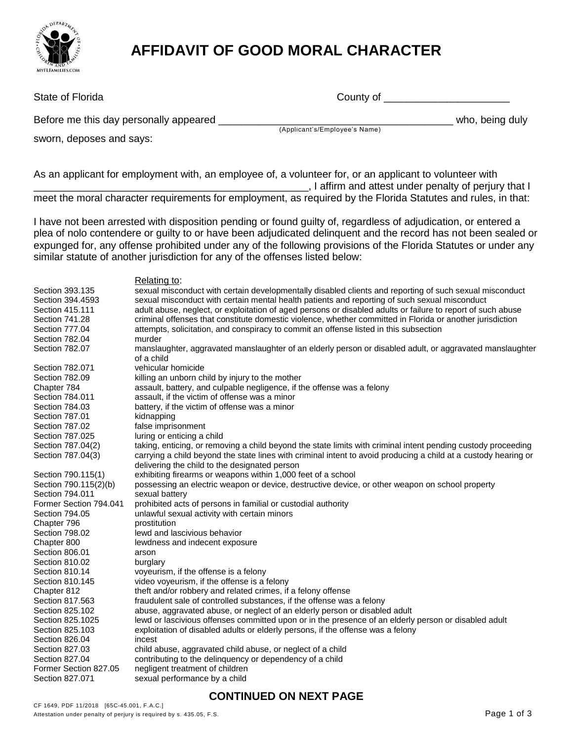

## **AFFIDAVIT OF GOOD MORAL CHARACTER**

| State of Florida                       | County of                     |                 |
|----------------------------------------|-------------------------------|-----------------|
| Before me this day personally appeared | (Applicant's/Employee's Name) | who, being duly |
| sworn, deposes and says:               |                               |                 |

As an applicant for employment with, an employee of, a volunteer for, or an applicant to volunteer with . I affirm and attest under penalty of perjury that I meet the moral character requirements for employment, as required by the Florida Statutes and rules, in that:

I have not been arrested with disposition pending or found guilty of, regardless of adjudication, or entered a plea of nolo contendere or guilty to or have been adjudicated delinquent and the record has not been sealed or expunged for, any offense prohibited under any of the following provisions of the Florida Statutes or under any similar statute of another jurisdiction for any of the offenses listed below:

Relating to: Section 393.135 sexual misconduct with certain developmentally disabled clients and reporting of such sexual misconduct Section 394.4593 sexual misconduct with certain mental health patients and reporting of such sexual misconduct Section 415.111 adult abuse, neglect, or exploitation of aged persons or disabled adults or failure to report of such abuse Section 741.28 criminal offenses that constitute domestic violence, whether committed in Florida or another jurisdiction Section 777.04 attempts, solicitation, and conspiracy to commit an offense listed in this subsection Section 782.04 murder Section 782.07 manslaughter, aggravated manslaughter of an elderly person or disabled adult, or aggravated manslaughter of a child Section 782.071 vehicular homicide Section 782.09 killing an unborn child by injury to the mother Chapter 784 chapter 784 assault, battery, and culpable negligence, if the offense was a felony<br>Section 784.011 cassault, if the victim of offense was a minor assault, if the victim of offense was a minor Section 784.03 battery, if the victim of offense was a minor Section 787.01 kidnapping Section 787.02 false imprisonment Section 787.025 luring or enticing a child Section 787.04(2) taking, enticing, or removing a child beyond the state limits with criminal intent pending custody proceeding Section 787.04(3) carrying a child beyond the state lines with criminal intent to avoid producing a child at a custody hearing or delivering the child to the designated person Section 790.115(1) exhibiting firearms or weapons within 1,000 feet of a school Section 790.115(2)(b) possessing an electric weapon or device, destructive device, or other weapon on school property Section 794.011 sexual battery Former Section 794.041 prohibited acts of persons in familial or custodial authority Section 794.05 unlawful sexual activity with certain minors Chapter 796 **prostitution** Section 798.02 lewd and lascivious behavior Chapter 800 lewdness and indecent exposure Section 806.01 arson Section 810.02 burglary Section 810.14 voyeurism, if the offense is a felony Section 810.145 video voyeurism, if the offense is a felony Chapter 812 theft and/or robbery and related crimes, if a felony offense Section 817.563 fraudulent sale of controlled substances, if the offense was a felony Section 825.102 abuse, aggravated abuse, or neglect of an elderly person or disabled adult Section 825.1025 lewd or lascivious offenses committed upon or in the presence of an elderly person or disabled adult Section 825.103 exploitation of disabled adults or elderly persons, if the offense was a felony Section 826.04 incest Section 827.03 child abuse, aggravated child abuse, or neglect of a child Section 827.04 contributing to the delinquency or dependency of a child Former Section 827.05 negligent treatment of children Section 827.071 sexual performance by a child

## **CONTINUED ON NEXT PAGE**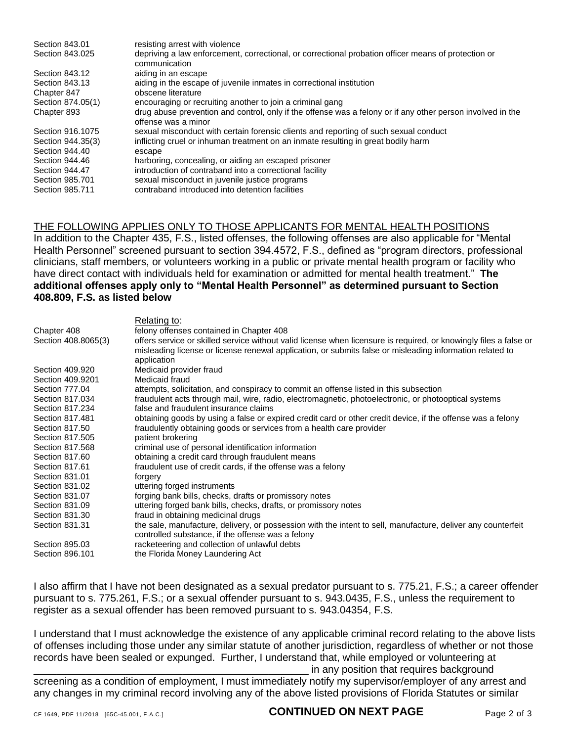| Section 843.01    | resisting arrest with violence                                                                                                    |
|-------------------|-----------------------------------------------------------------------------------------------------------------------------------|
| Section 843,025   | depriving a law enforcement, correctional, or correctional probation officer means of protection or<br>communication              |
| Section 843.12    | aiding in an escape                                                                                                               |
| Section 843.13    | aiding in the escape of juvenile inmates in correctional institution                                                              |
| Chapter 847       | obscene literature                                                                                                                |
| Section 874.05(1) | encouraging or recruiting another to join a criminal gang                                                                         |
| Chapter 893       | drug abuse prevention and control, only if the offense was a felony or if any other person involved in the<br>offense was a minor |
| Section 916,1075  | sexual misconduct with certain forensic clients and reporting of such sexual conduct                                              |
| Section 944.35(3) | inflicting cruel or inhuman treatment on an inmate resulting in great bodily harm                                                 |
| Section 944.40    | escape                                                                                                                            |
| Section 944.46    | harboring, concealing, or aiding an escaped prisoner                                                                              |
| Section 944.47    | introduction of contraband into a correctional facility                                                                           |
| Section 985,701   | sexual misconduct in juvenile justice programs                                                                                    |
| Section 985.711   | contraband introduced into detention facilities                                                                                   |

## THE FOLLOWING APPLIES ONLY TO THOSE APPLICANTS FOR MENTAL HEALTH POSITIONS

In addition to the Chapter 435, F.S., listed offenses, the following offenses are also applicable for "Mental Health Personnel" screened pursuant to section 394.4572, F.S., defined as "program directors, professional clinicians, staff members, or volunteers working in a public or private mental health program or facility who have direct contact with individuals held for examination or admitted for mental health treatment." **The additional offenses apply only to "Mental Health Personnel" as determined pursuant to Section 408.809, F.S. as listed below**

| Relating to:                                                                                                                                                                                                                                 |
|----------------------------------------------------------------------------------------------------------------------------------------------------------------------------------------------------------------------------------------------|
| felony offenses contained in Chapter 408                                                                                                                                                                                                     |
| offers service or skilled service without valid license when licensure is required, or knowingly files a false or<br>misleading license or license renewal application, or submits false or misleading information related to<br>application |
| Medicaid provider fraud                                                                                                                                                                                                                      |
| Medicaid fraud                                                                                                                                                                                                                               |
| attempts, solicitation, and conspiracy to commit an offense listed in this subsection                                                                                                                                                        |
| fraudulent acts through mail, wire, radio, electromagnetic, photoelectronic, or photooptical systems                                                                                                                                         |
| false and fraudulent insurance claims                                                                                                                                                                                                        |
| obtaining goods by using a false or expired credit card or other credit device, if the offense was a felony                                                                                                                                  |
| fraudulently obtaining goods or services from a health care provider                                                                                                                                                                         |
| patient brokering                                                                                                                                                                                                                            |
| criminal use of personal identification information                                                                                                                                                                                          |
| obtaining a credit card through fraudulent means                                                                                                                                                                                             |
| fraudulent use of credit cards, if the offense was a felony                                                                                                                                                                                  |
| forgery                                                                                                                                                                                                                                      |
| uttering forged instruments                                                                                                                                                                                                                  |
| forging bank bills, checks, drafts or promissory notes                                                                                                                                                                                       |
| uttering forged bank bills, checks, drafts, or promissory notes                                                                                                                                                                              |
| fraud in obtaining medicinal drugs                                                                                                                                                                                                           |
| the sale, manufacture, delivery, or possession with the intent to sell, manufacture, deliver any counterfeit<br>controlled substance, if the offense was a felony                                                                            |
| racketeering and collection of unlawful debts                                                                                                                                                                                                |
| the Florida Money Laundering Act                                                                                                                                                                                                             |
|                                                                                                                                                                                                                                              |

I also affirm that I have not been designated as a sexual predator pursuant to s. 775.21, F.S.; a career offender pursuant to s. 775.261, F.S.; or a sexual offender pursuant to s. 943.0435, F.S., unless the requirement to register as a sexual offender has been removed pursuant to s. 943.04354, F.S.

I understand that I must acknowledge the existence of any applicable criminal record relating to the above lists of offenses including those under any similar statute of another jurisdiction, regardless of whether or not those records have been sealed or expunged. Further, I understand that, while employed or volunteering at

in any position that requires background screening as a condition of employment, I must immediately notify my supervisor/employer of any arrest and any changes in my criminal record involving any of the above listed provisions of Florida Statutes or similar

CF 1649, PDF 11/2018 [65C-45.001, F.A.C.] **CONINUED ON NEXI PAGE** Page 2 of 3 **CONTINUED ON NEXT PAGE**